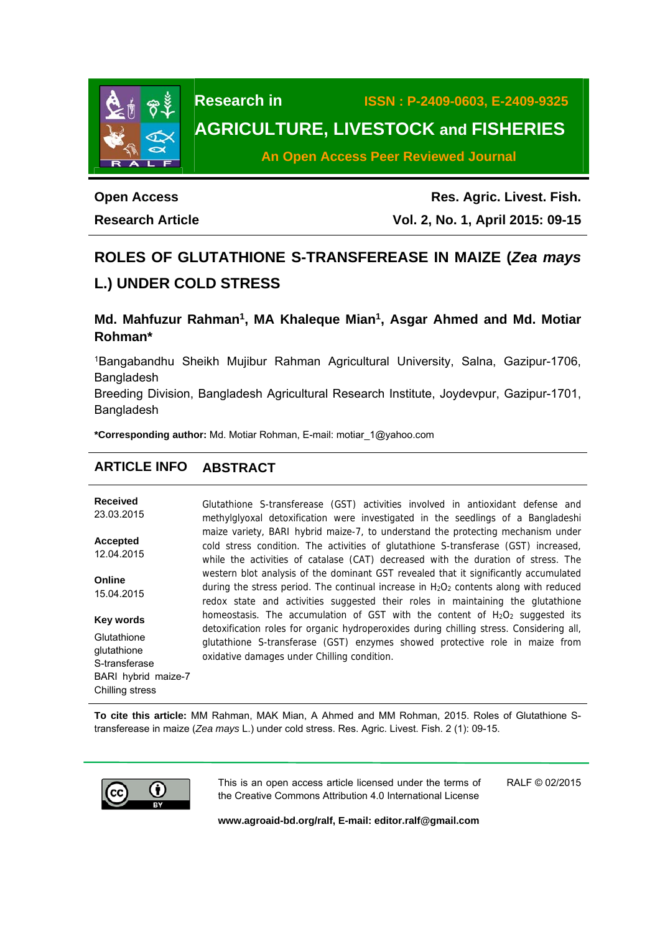

# **Research in ISSN : P-2409-0603, E-2409-9325 AGRICULTURE, LIVESTOCK and FISHERIES**

**An Open Access Peer Reviewed Journal**

# **Open Access Research Article**

**Res. Agric. Livest. Fish. Vol. 2, No. 1, April 2015: 09-15**

# **ROLES OF GLUTATHIONE S-TRANSFEREASE IN MAIZE (***Zea mays* **L.) UNDER COLD STRESS**

# **Md. Mahfuzur Rahman1, MA Khaleque Mian1, Asgar Ahmed and Md. Motiar Rohman\***

1Bangabandhu Sheikh Mujibur Rahman Agricultural University, Salna, Gazipur-1706, Bangladesh

Breeding Division, Bangladesh Agricultural Research Institute, Joydevpur, Gazipur-1701, Bangladesh

**\*Corresponding author:** Md. Motiar Rohman, E-mail: motiar\_1@yahoo.com

# **ARTICLE INFO ABSTRACT**

**Received**  23.03.2015 **Accepted**  12.04.2015 **Online**  15.04.2015 **Key words Glutathione** glutathione S-transferase BARI hybrid maize-7 Glutathione S-transferease (GST) activities involved in antioxidant defense and methylglyoxal detoxification were investigated in the seedlings of a Bangladeshi maize variety, BARI hybrid maize-7, to understand the protecting mechanism under cold stress condition. The activities of glutathione S-transferase (GST) increased, while the activities of catalase (CAT) decreased with the duration of stress. The western blot analysis of the dominant GST revealed that it significantly accumulated during the stress period. The continual increase in  $H_2O_2$  contents along with reduced redox state and activities suggested their roles in maintaining the glutathione homeostasis. The accumulation of GST with the content of  $H_2O_2$  suggested its detoxification roles for organic hydroperoxides during chilling stress. Considering all, glutathione S-transferase (GST) enzymes showed protective role in maize from oxidative damages under Chilling condition.

**To cite this article:** MM Rahman, MAK Mian, A Ahmed and MM Rohman, 2015. Roles of Glutathione Stransferease in maize (*Zea mays* L.) under cold stress. Res. Agric. Livest. Fish. 2 (1): 09-15.



Chilling stress

This is an open access article licensed under the terms of the Creative Commons Attribution 4.0 International License RALF © 02/2015

**www.agroaid-bd.org/ralf, E-mail: editor.ralf@gmail.com**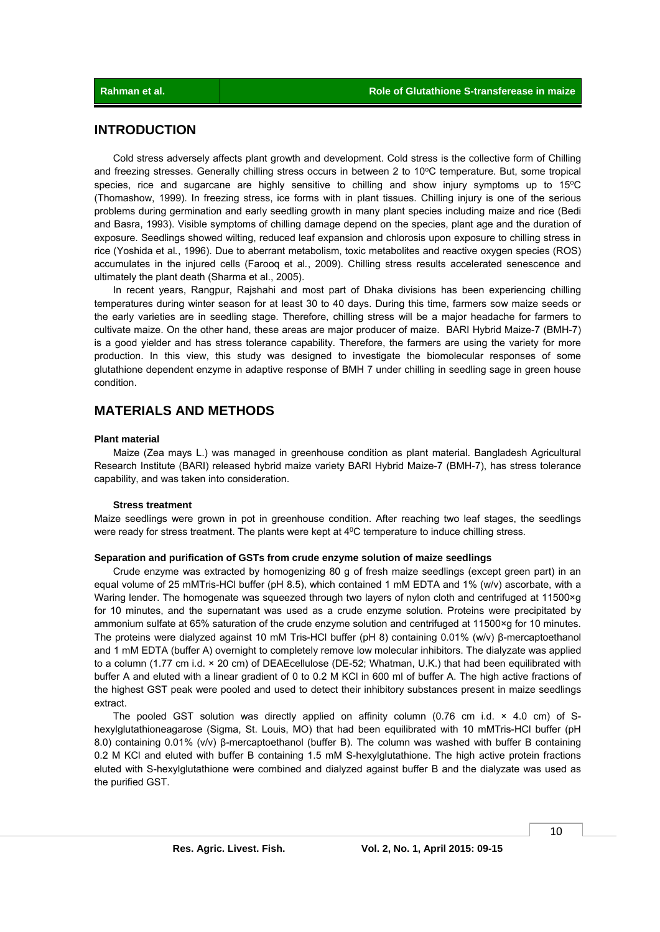### **INTRODUCTION**

 Cold stress adversely affects plant growth and development. Cold stress is the collective form of Chilling and freezing stresses. Generally chilling stress occurs in between 2 to 10°C temperature. But, some tropical species, rice and sugarcane are highly sensitive to chilling and show injury symptoms up to  $15^{\circ}$ C (Thomashow, 1999). In freezing stress, ice forms with in plant tissues. Chilling injury is one of the serious problems during germination and early seedling growth in many plant species including maize and rice (Bedi and Basra, 1993). Visible symptoms of chilling damage depend on the species, plant age and the duration of exposure. Seedlings showed wilting, reduced leaf expansion and chlorosis upon exposure to chilling stress in rice (Yoshida et al*.*, 1996). Due to aberrant metabolism, toxic metabolites and reactive oxygen species (ROS) accumulates in the injured cells (Farooq et al*.*, 2009). Chilling stress results accelerated senescence and ultimately the plant death (Sharma et al., 2005).

 In recent years, Rangpur, Rajshahi and most part of Dhaka divisions has been experiencing chilling temperatures during winter season for at least 30 to 40 days. During this time, farmers sow maize seeds or the early varieties are in seedling stage. Therefore, chilling stress will be a major headache for farmers to cultivate maize. On the other hand, these areas are major producer of maize. BARI Hybrid Maize-7 (BMH-7) is a good yielder and has stress tolerance capability. Therefore, the farmers are using the variety for more production. In this view, this study was designed to investigate the biomolecular responses of some glutathione dependent enzyme in adaptive response of BMH 7 under chilling in seedling sage in green house condition.

### **MATERIALS AND METHODS**

#### **Plant material**

 Maize (Zea mays L.) was managed in greenhouse condition as plant material. Bangladesh Agricultural Research Institute (BARI) released hybrid maize variety BARI Hybrid Maize-7 (BMH-7), has stress tolerance capability, and was taken into consideration.

#### **Stress treatment**

Maize seedlings were grown in pot in greenhouse condition. After reaching two leaf stages, the seedlings were ready for stress treatment. The plants were kept at 4<sup>0</sup>C temperature to induce chilling stress.

#### **Separation and purification of GSTs from crude enzyme solution of maize seedlings**

 Crude enzyme was extracted by homogenizing 80 g of fresh maize seedlings (except green part) in an equal volume of 25 mMTris-HCl buffer (pH 8.5), which contained 1 mM EDTA and 1% (w/v) ascorbate, with a Waring lender. The homogenate was squeezed through two layers of nylon cloth and centrifuged at 11500×g for 10 minutes, and the supernatant was used as a crude enzyme solution. Proteins were precipitated by ammonium sulfate at 65% saturation of the crude enzyme solution and centrifuged at 11500×g for 10 minutes. The proteins were dialyzed against 10 mM Tris-HCl buffer (pH 8) containing 0.01% (w/v) β-mercaptoethanol and 1 mM EDTA (buffer A) overnight to completely remove low molecular inhibitors. The dialyzate was applied to a column (1.77 cm i.d. × 20 cm) of DEAEcellulose (DE-52; Whatman, U.K.) that had been equilibrated with buffer A and eluted with a linear gradient of 0 to 0.2 M KCl in 600 ml of buffer A. The high active fractions of the highest GST peak were pooled and used to detect their inhibitory substances present in maize seedlings extract.

The pooled GST solution was directly applied on affinity column (0.76 cm i.d.  $\times$  4.0 cm) of Shexylglutathioneagarose (Sigma, St. Louis, MO) that had been equilibrated with 10 mMTris-HCl buffer (pH 8.0) containing 0.01% (v/v) β-mercaptoethanol (buffer B). The column was washed with buffer B containing 0.2 M KCl and eluted with buffer B containing 1.5 mM S-hexylglutathione. The high active protein fractions eluted with S-hexylglutathione were combined and dialyzed against buffer B and the dialyzate was used as the purified GST.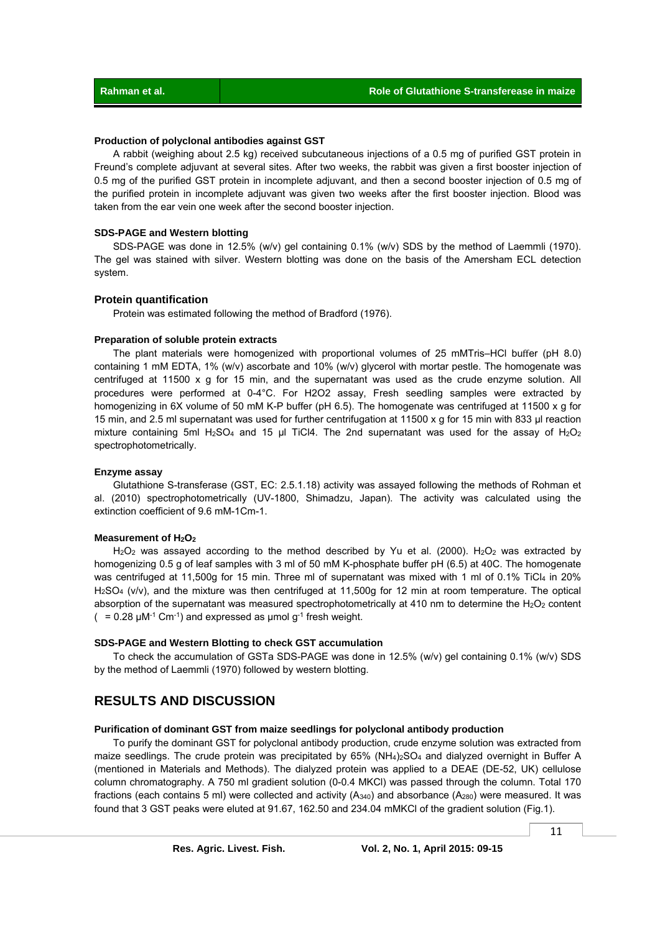#### **Production of polyclonal antibodies against GST**

 A rabbit (weighing about 2.5 kg) received subcutaneous injections of a 0.5 mg of purified GST protein in Freund's complete adjuvant at several sites. After two weeks, the rabbit was given a first booster injection of 0.5 mg of the purified GST protein in incomplete adjuvant, and then a second booster injection of 0.5 mg of the purified protein in incomplete adjuvant was given two weeks after the first booster injection. Blood was taken from the ear vein one week after the second booster injection.

#### **SDS-PAGE and Western blotting**

 SDS-PAGE was done in 12.5% (w/v) gel containing 0.1% (w/v) SDS by the method of Laemmli (1970). The gel was stained with silver. Western blotting was done on the basis of the Amersham ECL detection system.

#### **Protein quantification**

Protein was estimated following the method of Bradford (1976).

#### **Preparation of soluble protein extracts**

 The plant materials were homogenized with proportional volumes of 25 mMTris–HCl buffer (pH 8.0) containing 1 mM EDTA, 1% (w/v) ascorbate and 10% (w/v) glycerol with mortar pestle. The homogenate was centrifuged at 11500 x g for 15 min, and the supernatant was used as the crude enzyme solution. All procedures were performed at 0-4°C. For H2O2 assay, Fresh seedling samples were extracted by homogenizing in 6X volume of 50 mM K-P buffer (pH 6.5). The homogenate was centrifuged at 11500 x g for 15 min, and 2.5 ml supernatant was used for further centrifugation at 11500 x q for 15 min with 833 ul reaction mixture containing 5ml H<sub>2</sub>SO<sub>4</sub> and 15 µl TiCl4. The 2nd supernatant was used for the assay of H<sub>2</sub>O<sub>2</sub> spectrophotometrically.

#### **Enzyme assay**

 Glutathione S-transferase (GST, EC: 2.5.1.18) activity was assayed following the methods of Rohman et al. (2010) spectrophotometrically (UV-1800, Shimadzu, Japan). The activity was calculated using the extinction coefficient of 9.6 mM-1Cm-1.

#### **Measurement of H2O2**

 $H_2O_2$  was assayed according to the method described by Yu et al. (2000).  $H_2O_2$  was extracted by homogenizing 0.5 g of leaf samples with 3 ml of 50 mM K-phosphate buffer pH (6.5) at 40C. The homogenate was centrifuged at 11,500g for 15 min. Three ml of supernatant was mixed with 1 ml of 0.1% TiCl4 in 20% H2SO4 (v/v), and the mixture was then centrifuged at 11,500g for 12 min at room temperature. The optical absorption of the supernatant was measured spectrophotometrically at 410 nm to determine the  $H_2O_2$  content  $(= 0.28 \mu M^{-1}$  Cm<sup>-1</sup>) and expressed as  $\mu$ mol g<sup>-1</sup> fresh weight.

#### **SDS-PAGE and Western Blotting to check GST accumulation**

 To check the accumulation of GSTa SDS-PAGE was done in 12.5% (w/v) gel containing 0.1% (w/v) SDS by the method of Laemmli (1970) followed by western blotting.

## **RESULTS AND DISCUSSION**

#### **Purification of dominant GST from maize seedlings for polyclonal antibody production**

 To purify the dominant GST for polyclonal antibody production, crude enzyme solution was extracted from maize seedlings. The crude protein was precipitated by 65% (NH<sub>4</sub>)<sub>2</sub>SO<sub>4</sub> and dialyzed overnight in Buffer A (mentioned in Materials and Methods). The dialyzed protein was applied to a DEAE (DE-52, UK) cellulose column chromatography. A 750 ml gradient solution (0-0.4 MKCl) was passed through the column. Total 170 fractions (each contains 5 ml) were collected and activity (A<sub>340</sub>) and absorbance (A<sub>280</sub>) were measured. It was found that 3 GST peaks were eluted at 91.67, 162.50 and 234.04 mMKCl of the gradient solution (Fig.1).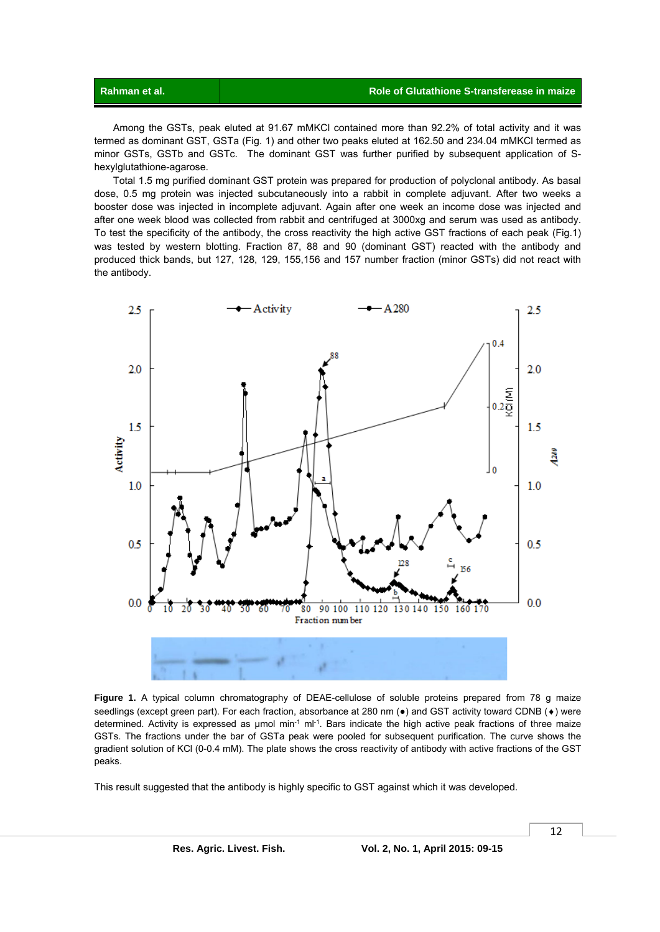Among the GSTs, peak eluted at 91.67 mMKCl contained more than 92.2% of total activity and it was termed as dominant GST, GSTa (Fig. 1) and other two peaks eluted at 162.50 and 234.04 mMKCl termed as minor GSTs, GSTb and GSTc. The dominant GST was further purified by subsequent application of Shexylglutathione-agarose.

 Total 1.5 mg purified dominant GST protein was prepared for production of polyclonal antibody. As basal dose, 0.5 mg protein was injected subcutaneously into a rabbit in complete adjuvant. After two weeks a booster dose was injected in incomplete adjuvant. Again after one week an income dose was injected and after one week blood was collected from rabbit and centrifuged at 3000xg and serum was used as antibody. To test the specificity of the antibody, the cross reactivity the high active GST fractions of each peak (Fig.1) was tested by western blotting. Fraction 87, 88 and 90 (dominant GST) reacted with the antibody and produced thick bands, but 127, 128, 129, 155,156 and 157 number fraction (minor GSTs) did not react with the antibody.



Figure 1. A typical column chromatography of DEAE-cellulose of soluble proteins prepared from 78 g maize seedlings (except green part). For each fraction, absorbance at 280 nm ( $\bullet$ ) and GST activity toward CDNB ( $\bullet$ ) were determined. Activity is expressed as umol min<sup>-1</sup> ml<sup>-1</sup>. Bars indicate the high active peak fractions of three maize GSTs. The fractions under the bar of GSTa peak were pooled for subsequent purification. The curve shows the gradient solution of KCl (0-0.4 mM). The plate shows the cross reactivity of antibody with active fractions of the GST peaks.

 $\overline{a}$ 

This result suggested that the antibody is highly specific to GST against which it was developed.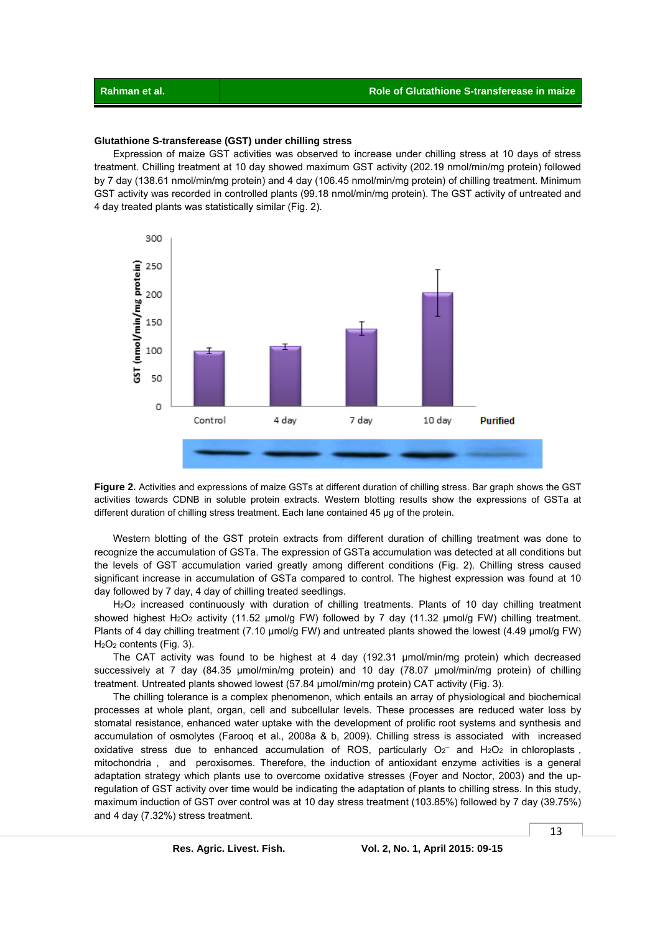#### **Glutathione S-transferease (GST) under chilling stress**

 Expression of maize GST activities was observed to increase under chilling stress at 10 days of stress treatment. Chilling treatment at 10 day showed maximum GST activity (202.19 nmol/min/mg protein) followed by 7 day (138.61 nmol/min/mg protein) and 4 day (106.45 nmol/min/mg protein) of chilling treatment. Minimum GST activity was recorded in controlled plants (99.18 nmol/min/mg protein). The GST activity of untreated and 4 day treated plants was statistically similar (Fig. 2).



**Figure 2.** Activities and expressions of maize GSTs at different duration of chilling stress. Bar graph shows the GST activities towards CDNB in soluble protein extracts. Western blotting results show the expressions of GSTa at different duration of chilling stress treatment. Each lane contained 45 μg of the protein.

 Western blotting of the GST protein extracts from different duration of chilling treatment was done to recognize the accumulation of GSTa. The expression of GSTa accumulation was detected at all conditions but the levels of GST accumulation varied greatly among different conditions (Fig. 2). Chilling stress caused significant increase in accumulation of GSTa compared to control. The highest expression was found at 10 day followed by 7 day, 4 day of chilling treated seedlings.

 H2O2 increased continuously with duration of chilling treatments. Plants of 10 day chilling treatment showed highest H<sub>2</sub>O<sub>2</sub> activity (11.52 µmol/g FW) followed by 7 day (11.32 µmol/g FW) chilling treatment. Plants of 4 day chilling treatment (7.10 µmol/g FW) and untreated plants showed the lowest (4.49 µmol/g FW) H2O2 contents (Fig. 3).

 The CAT activity was found to be highest at 4 day (192.31 µmol/min/mg protein) which decreased successively at 7 day (84.35 µmol/min/mg protein) and 10 day (78.07 µmol/min/mg protein) of chilling treatment. Untreated plants showed lowest (57.84 µmol/min/mg protein) CAT activity (Fig. 3).

 The chilling tolerance is a complex phenomenon, which entails an array of physiological and biochemical processes at whole plant, organ, cell and subcellular levels. These processes are reduced water loss by stomatal resistance, enhanced water uptake with the development of prolific root systems and synthesis and accumulation of osmolytes (Farooq et al., 2008a & b, 2009). Chilling stress is associated with increased oxidative stress due to enhanced accumulation of ROS, particularly  $O_2^-$  and  $H_2O_2$  in chloroplasts, mitochondria , and peroxisomes. Therefore, the induction of antioxidant enzyme activities is a general adaptation strategy which plants use to overcome oxidative stresses (Foyer and Noctor, 2003) and the upregulation of GST activity over time would be indicating the adaptation of plants to chilling stress. In this study, maximum induction of GST over control was at 10 day stress treatment (103.85%) followed by 7 day (39.75%) and 4 day (7.32%) stress treatment.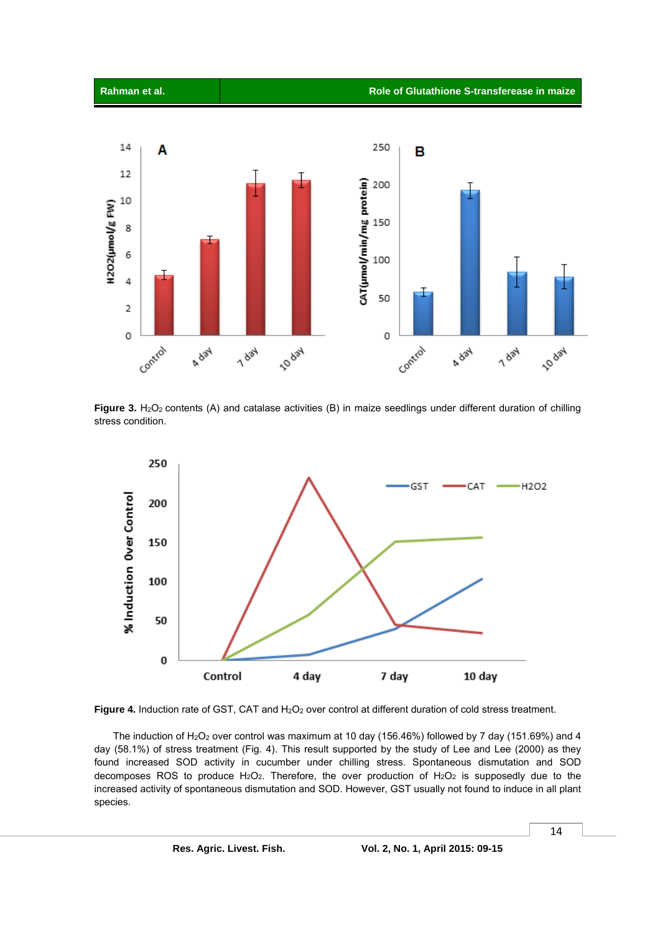



Figure 3. H<sub>2</sub>O<sub>2</sub> contents (A) and catalase activities (B) in maize seedlings under different duration of chilling stress condition.



Figure 4. Induction rate of GST, CAT and H<sub>2</sub>O<sub>2</sub> over control at different duration of cold stress treatment.

The induction of H<sub>2</sub>O<sub>2</sub> over control was maximum at 10 day (156.46%) followed by 7 day (151.69%) and 4 day (58.1%) of stress treatment (Fig. 4). This result supported by the study of Lee and Lee (2000) as they found increased SOD activity in cucumber under chilling stress. Spontaneous dismutation and SOD decomposes ROS to produce  $H_2O_2$ . Therefore, the over production of  $H_2O_2$  is supposedly due to the increased activity of spontaneous dismutation and SOD. However, GST usually not found to induce in all plant species.